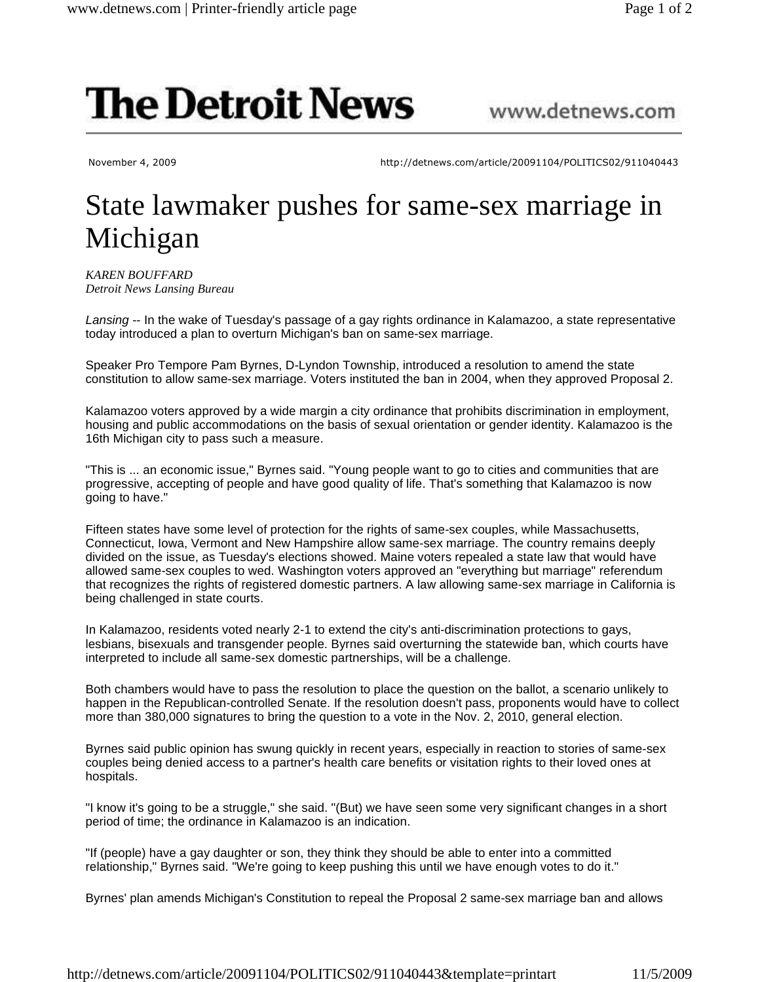## **The Detroit News**

November 4, 2009 http://detnews.com/article/20091104/POLITICS02/911040443

www.detnews.com

## State lawmaker pushes for same-sex marriage in Michigan

*KAREN BOUFFARD Detroit News Lansing Bureau*

Lansing -- In the wake of Tuesday's passage of a gay rights ordinance in Kalamazoo, a state representative today introduced a plan to overturn Michigan's ban on same-sex marriage.

Speaker Pro Tempore Pam Byrnes, D-Lyndon Township, introduced a resolution to amend the state constitution to allow same-sex marriage. Voters instituted the ban in 2004, when they approved Proposal 2.

Kalamazoo voters approved by a wide margin a city ordinance that prohibits discrimination in employment, housing and public accommodations on the basis of sexual orientation or gender identity. Kalamazoo is the 16th Michigan city to pass such a measure.

"This is ... an economic issue," Byrnes said. "Young people want to go to cities and communities that are progressive, accepting of people and have good quality of life. That's something that Kalamazoo is now going to have."

Fifteen states have some level of protection for the rights of same-sex couples, while Massachusetts, Connecticut, Iowa, Vermont and New Hampshire allow same-sex marriage. The country remains deeply divided on the issue, as Tuesday's elections showed. Maine voters repealed a state law that would have allowed same-sex couples to wed. Washington voters approved an "everything but marriage" referendum that recognizes the rights of registered domestic partners. A law allowing same-sex marriage in California is being challenged in state courts.

In Kalamazoo, residents voted nearly 2-1 to extend the city's anti-discrimination protections to gays, lesbians, bisexuals and transgender people. Byrnes said overturning the statewide ban, which courts have interpreted to include all same-sex domestic partnerships, will be a challenge.

Both chambers would have to pass the resolution to place the question on the ballot, a scenario unlikely to happen in the Republican-controlled Senate. If the resolution doesn't pass, proponents would have to collect more than 380,000 signatures to bring the question to a vote in the Nov. 2, 2010, general election.

Byrnes said public opinion has swung quickly in recent years, especially in reaction to stories of same-sex couples being denied access to a partner's health care benefits or visitation rights to their loved ones at hospitals.

"I know it's going to be a struggle," she said. "(But) we have seen some very significant changes in a short period of time; the ordinance in Kalamazoo is an indication.

"If (people) have a gay daughter or son, they think they should be able to enter into a committed relationship," Byrnes said. "We're going to keep pushing this until we have enough votes to do it."

Byrnes' plan amends Michigan's Constitution to repeal the Proposal 2 same-sex marriage ban and allows